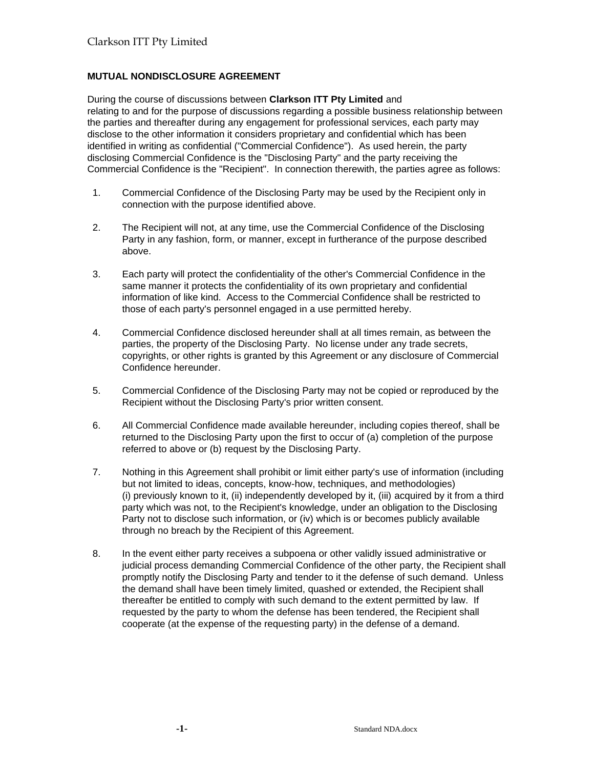## **MUTUAL NONDISCLOSURE AGREEMENT**

During the course of discussions between **Clarkson ITT Pty Limited** and relating to and for the purpose of discussions regarding a possible business relationship between the parties and thereafter during any engagement for professional services, each party may disclose to the other information it considers proprietary and confidential which has been identified in writing as confidential ("Commercial Confidence"). As used herein, the party disclosing Commercial Confidence is the "Disclosing Party" and the party receiving the Commercial Confidence is the "Recipient". In connection therewith, the parties agree as follows:

- 1. Commercial Confidence of the Disclosing Party may be used by the Recipient only in connection with the purpose identified above.
- 2. The Recipient will not, at any time, use the Commercial Confidence of the Disclosing Party in any fashion, form, or manner, except in furtherance of the purpose described above.
- 3. Each party will protect the confidentiality of the other's Commercial Confidence in the same manner it protects the confidentiality of its own proprietary and confidential information of like kind. Access to the Commercial Confidence shall be restricted to those of each party's personnel engaged in a use permitted hereby.
- 4. Commercial Confidence disclosed hereunder shall at all times remain, as between the parties, the property of the Disclosing Party. No license under any trade secrets, copyrights, or other rights is granted by this Agreement or any disclosure of Commercial Confidence hereunder.
- 5. Commercial Confidence of the Disclosing Party may not be copied or reproduced by the Recipient without the Disclosing Party's prior written consent.
- 6. All Commercial Confidence made available hereunder, including copies thereof, shall be returned to the Disclosing Party upon the first to occur of (a) completion of the purpose referred to above or (b) request by the Disclosing Party.
- 7. Nothing in this Agreement shall prohibit or limit either party's use of information (including but not limited to ideas, concepts, know-how, techniques, and methodologies) (i) previously known to it, (ii) independently developed by it, (iii) acquired by it from a third party which was not, to the Recipient's knowledge, under an obligation to the Disclosing Party not to disclose such information, or (iv) which is or becomes publicly available through no breach by the Recipient of this Agreement.
- 8. In the event either party receives a subpoena or other validly issued administrative or judicial process demanding Commercial Confidence of the other party, the Recipient shall promptly notify the Disclosing Party and tender to it the defense of such demand. Unless the demand shall have been timely limited, quashed or extended, the Recipient shall thereafter be entitled to comply with such demand to the extent permitted by law. If requested by the party to whom the defense has been tendered, the Recipient shall cooperate (at the expense of the requesting party) in the defense of a demand.